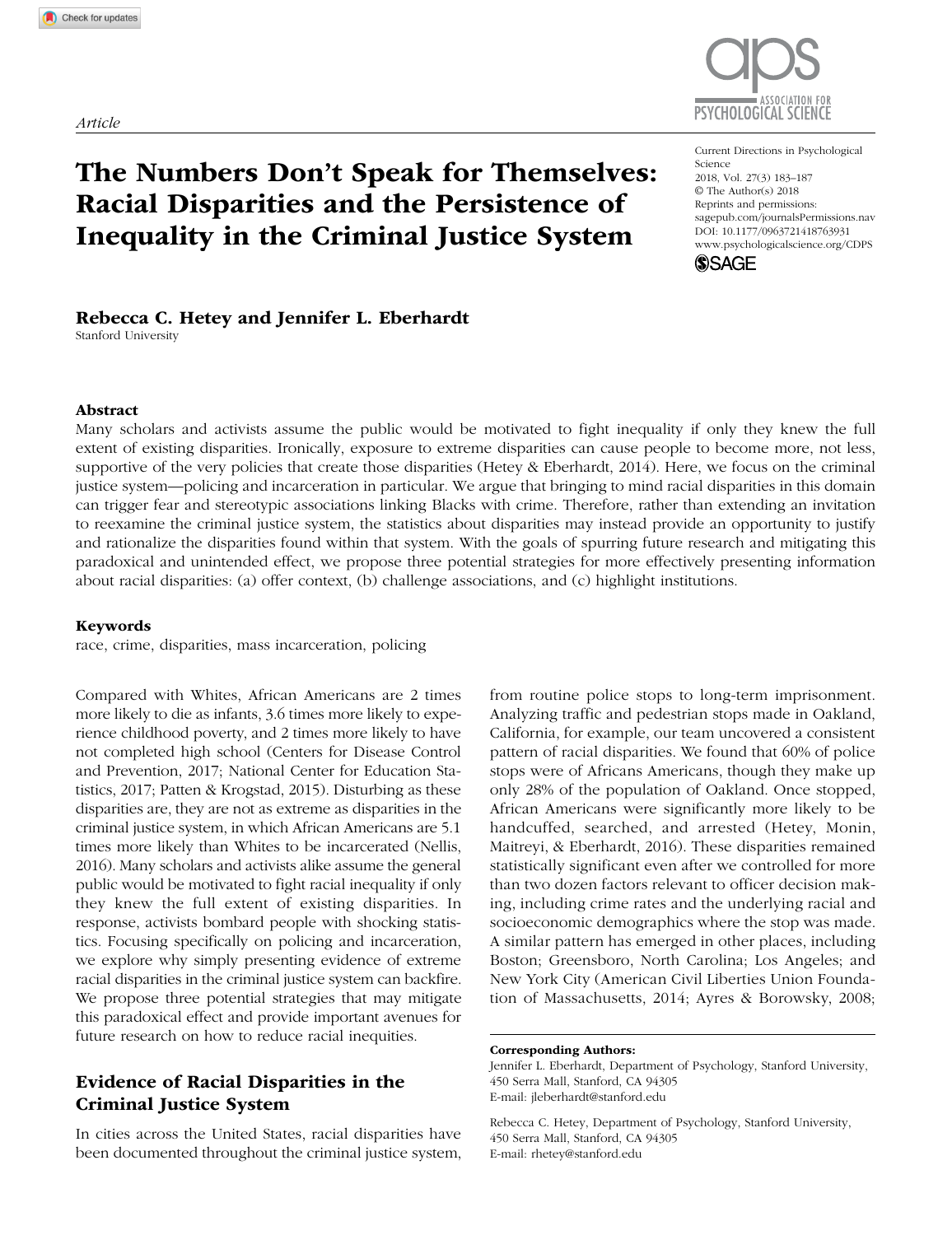*Article*



https://doi.org/10.1177/0963721418763931 DOI: 10.1177/0963721418763931 Current Directions in Psychological 2018, Vol. 27(3) 183–187 © The Author(s) 2018 Reprints and permissions: [sagepub.com/journalsPermissions.nav](https://sagepub.com/journalsPermissions.nav) [www.psychologicalscience.org/CDPS](http://www.psychologicalscience.org/cdps)



# Rebecca C. Hetey and Jennifer L. Eberhardt

Racial Disparities and the Persistence of

Inequality in the Criminal Justice System

Stanford University

#### Abstract

Many scholars and activists assume the public would be motivated to fight inequality if only they knew the full extent of existing disparities. Ironically, exposure to extreme disparities can cause people to become more, not less, supportive of the very policies that create those disparities (Hetey & Eberhardt, 2014). Here, we focus on the criminal justice system—policing and incarceration in particular. We argue that bringing to mind racial disparities in this domain can trigger fear and stereotypic associations linking Blacks with crime. Therefore, rather than extending an invitation to reexamine the criminal justice system, the statistics about disparities may instead provide an opportunity to justify and rationalize the disparities found within that system. With the goals of spurring future research and mitigating this paradoxical and unintended effect, we propose three potential strategies for more effectively presenting information about racial disparities: (a) offer context, (b) challenge associations, and (c) highlight institutions.

#### Keywords

race, crime, disparities, mass incarceration, policing

Compared with Whites, African Americans are 2 times more likely to die as infants, 3.6 times more likely to experience childhood poverty, and 2 times more likely to have not completed high school (Centers for Disease Control and Prevention, 2017; National Center for Education Statistics, 2017; Patten & Krogstad, 2015). Disturbing as these disparities are, they are not as extreme as disparities in the criminal justice system, in which African Americans are 5.1 times more likely than Whites to be incarcerated (Nellis, 2016). Many scholars and activists alike assume the general public would be motivated to fight racial inequality if only they knew the full extent of existing disparities. In response, activists bombard people with shocking statistics. Focusing specifically on policing and incarceration, we explore why simply presenting evidence of extreme racial disparities in the criminal justice system can backfire. We propose three potential strategies that may mitigate this paradoxical effect and provide important avenues for future research on how to reduce racial inequities.

## Evidence of Racial Disparities in the Criminal Justice System

In cities across the United States, racial disparities have been documented throughout the criminal justice system, from routine police stops to long-term imprisonment. Analyzing traffic and pedestrian stops made in Oakland, California, for example, our team uncovered a consistent pattern of racial disparities. We found that 60% of police stops were of Africans Americans, though they make up only 28% of the population of Oakland. Once stopped, African Americans were significantly more likely to be handcuffed, searched, and arrested (Hetey, Monin, Maitreyi, & Eberhardt, 2016). These disparities remained statistically significant even after we controlled for more than two dozen factors relevant to officer decision making, including crime rates and the underlying racial and socioeconomic demographics where the stop was made. A similar pattern has emerged in other places, including Boston; Greensboro, North Carolina; Los Angeles; and New York City (American Civil Liberties Union Foundation of Massachusetts, 2014; Ayres & Borowsky, 2008;

Jennifer L. Eberhardt, Department of Psychology, Stanford University, 450 Serra Mall, Stanford, CA 94305 E-mail: [jleberhardt@stanford.edu](mailto:jleberhardt@stanford.edu)

Rebecca C. Hetey, Department of Psychology, Stanford University, 450 Serra Mall, Stanford, CA 94305 E-mail: rhetey@stanford.edu

Corresponding Authors: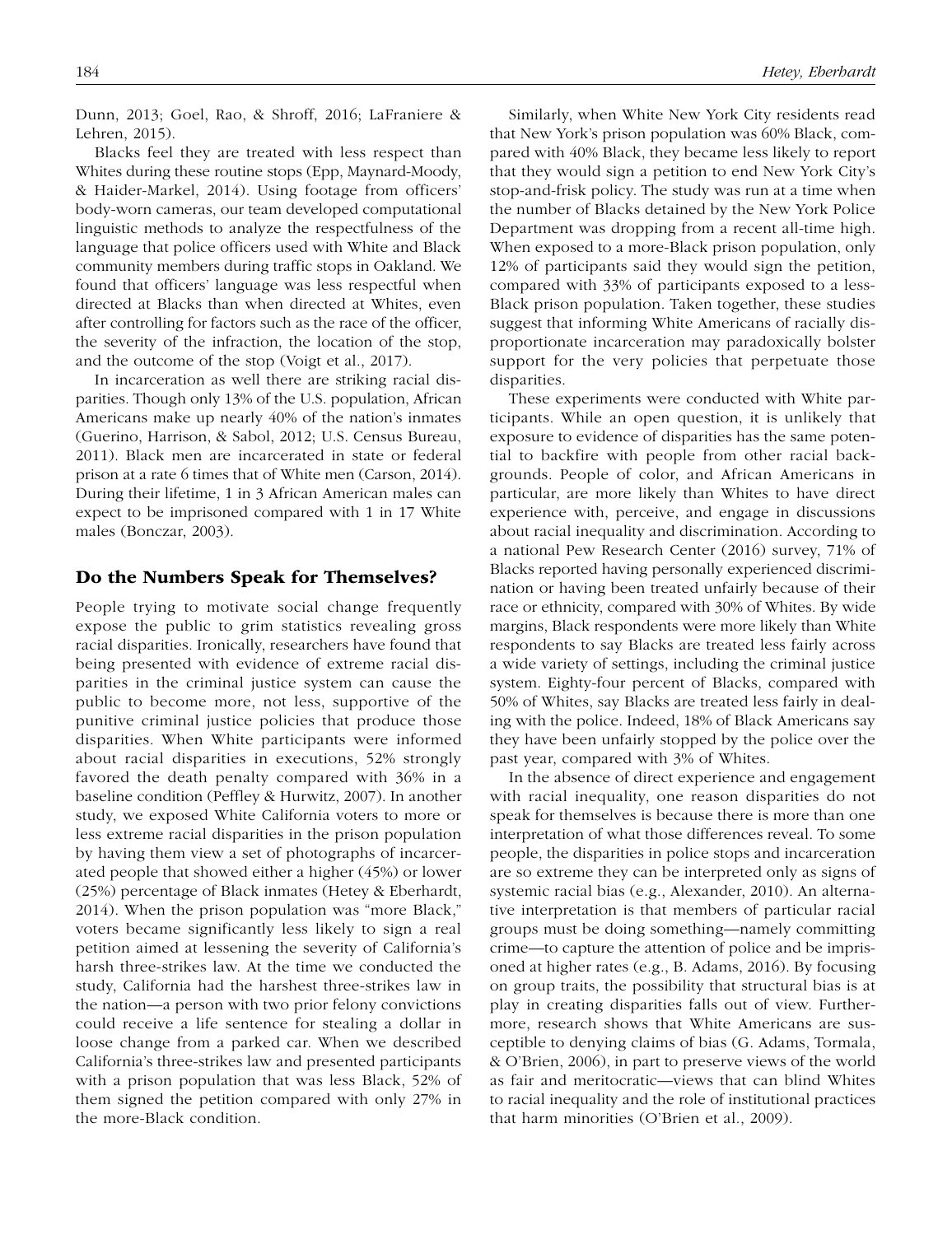Dunn, 2013; Goel, Rao, & Shroff, 2016; LaFraniere & Lehren, 2015).

Blacks feel they are treated with less respect than Whites during these routine stops (Epp, Maynard-Moody, & Haider-Markel, 2014). Using footage from officers' body-worn cameras, our team developed computational linguistic methods to analyze the respectfulness of the language that police officers used with White and Black community members during traffic stops in Oakland. We found that officers' language was less respectful when directed at Blacks than when directed at Whites, even after controlling for factors such as the race of the officer, the severity of the infraction, the location of the stop, and the outcome of the stop (Voigt et al., 2017).

In incarceration as well there are striking racial disparities. Though only 13% of the U.S. population, African Americans make up nearly 40% of the nation's inmates (Guerino, Harrison, & Sabol, 2012; U.S. Census Bureau, 2011). Black men are incarcerated in state or federal prison at a rate 6 times that of White men (Carson, 2014). During their lifetime, 1 in 3 African American males can expect to be imprisoned compared with 1 in 17 White males (Bonczar, 2003).

## Do the Numbers Speak for Themselves?

People trying to motivate social change frequently expose the public to grim statistics revealing gross racial disparities. Ironically, researchers have found that being presented with evidence of extreme racial disparities in the criminal justice system can cause the public to become more, not less, supportive of the punitive criminal justice policies that produce those disparities. When White participants were informed about racial disparities in executions, 52% strongly favored the death penalty compared with 36% in a baseline condition (Peffley & Hurwitz, 2007). In another study, we exposed White California voters to more or less extreme racial disparities in the prison population by having them view a set of photographs of incarcerated people that showed either a higher (45%) or lower (25%) percentage of Black inmates (Hetey & Eberhardt, 2014). When the prison population was "more Black," voters became significantly less likely to sign a real petition aimed at lessening the severity of California's harsh three-strikes law. At the time we conducted the study, California had the harshest three-strikes law in the nation—a person with two prior felony convictions could receive a life sentence for stealing a dollar in loose change from a parked car. When we described California's three-strikes law and presented participants with a prison population that was less Black, 52% of them signed the petition compared with only 27% in the more-Black condition.

Similarly, when White New York City residents read that New York's prison population was 60% Black, compared with 40% Black, they became less likely to report that they would sign a petition to end New York City's stop-and-frisk policy. The study was run at a time when the number of Blacks detained by the New York Police Department was dropping from a recent all-time high. When exposed to a more-Black prison population, only 12% of participants said they would sign the petition, compared with 33% of participants exposed to a less-Black prison population. Taken together, these studies suggest that informing White Americans of racially disproportionate incarceration may paradoxically bolster support for the very policies that perpetuate those disparities.

These experiments were conducted with White participants. While an open question, it is unlikely that exposure to evidence of disparities has the same potential to backfire with people from other racial backgrounds. People of color, and African Americans in particular, are more likely than Whites to have direct experience with, perceive, and engage in discussions about racial inequality and discrimination. According to a national Pew Research Center (2016) survey, 71% of Blacks reported having personally experienced discrimination or having been treated unfairly because of their race or ethnicity, compared with 30% of Whites. By wide margins, Black respondents were more likely than White respondents to say Blacks are treated less fairly across a wide variety of settings, including the criminal justice system. Eighty-four percent of Blacks, compared with 50% of Whites, say Blacks are treated less fairly in dealing with the police. Indeed, 18% of Black Americans say they have been unfairly stopped by the police over the past year, compared with 3% of Whites.

In the absence of direct experience and engagement with racial inequality, one reason disparities do not speak for themselves is because there is more than one interpretation of what those differences reveal. To some people, the disparities in police stops and incarceration are so extreme they can be interpreted only as signs of systemic racial bias (e.g., Alexander, 2010). An alternative interpretation is that members of particular racial groups must be doing something—namely committing crime—to capture the attention of police and be imprisoned at higher rates (e.g., B. Adams, 2016). By focusing on group traits, the possibility that structural bias is at play in creating disparities falls out of view. Furthermore, research shows that White Americans are susceptible to denying claims of bias (G. Adams, Tormala, & O'Brien, 2006), in part to preserve views of the world as fair and meritocratic—views that can blind Whites to racial inequality and the role of institutional practices that harm minorities (O'Brien et al., 2009).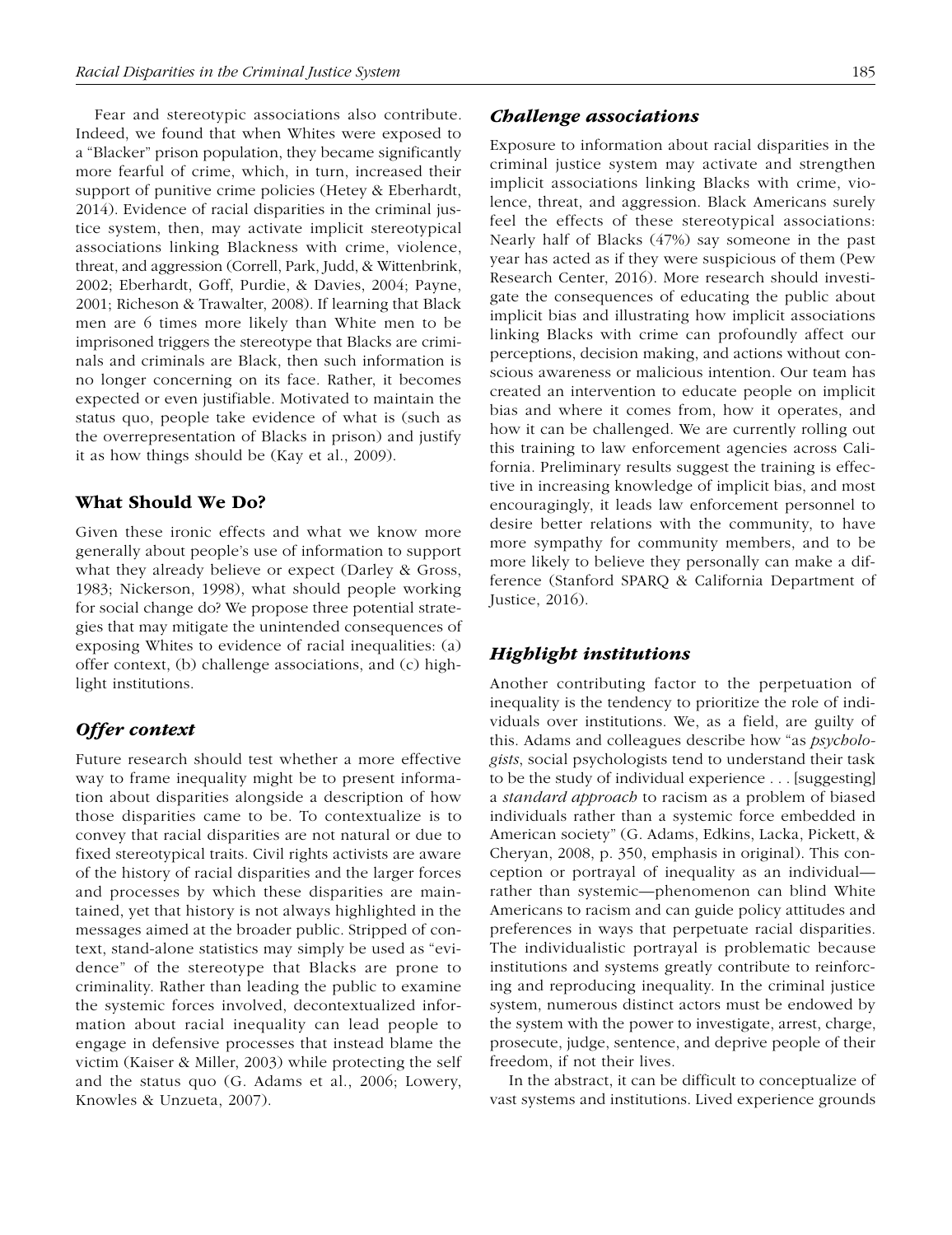Fear and stereotypic associations also contribute. Indeed, we found that when Whites were exposed to a "Blacker" prison population, they became significantly more fearful of crime, which, in turn, increased their support of punitive crime policies (Hetey & Eberhardt, 2014). Evidence of racial disparities in the criminal justice system, then, may activate implicit stereotypical associations linking Blackness with crime, violence, threat, and aggression (Correll, Park, Judd, & Wittenbrink, 2002; Eberhardt, Goff, Purdie, & Davies, 2004; Payne, 2001; Richeson & Trawalter, 2008). If learning that Black men are 6 times more likely than White men to be imprisoned triggers the stereotype that Blacks are criminals and criminals are Black, then such information is no longer concerning on its face. Rather, it becomes expected or even justifiable. Motivated to maintain the status quo, people take evidence of what is (such as the overrepresentation of Blacks in prison) and justify it as how things should be (Kay et al., 2009).

## What Should We Do?

Given these ironic effects and what we know more generally about people's use of information to support what they already believe or expect (Darley & Gross, 1983; Nickerson, 1998), what should people working for social change do? We propose three potential strategies that may mitigate the unintended consequences of exposing Whites to evidence of racial inequalities: (a) offer context, (b) challenge associations, and (c) highlight institutions.

## *Offer context*

Future research should test whether a more effective way to frame inequality might be to present information about disparities alongside a description of how those disparities came to be. To contextualize is to convey that racial disparities are not natural or due to fixed stereotypical traits. Civil rights activists are aware of the history of racial disparities and the larger forces and processes by which these disparities are maintained, yet that history is not always highlighted in the messages aimed at the broader public. Stripped of context, stand-alone statistics may simply be used as "evidence" of the stereotype that Blacks are prone to criminality. Rather than leading the public to examine the systemic forces involved, decontextualized information about racial inequality can lead people to engage in defensive processes that instead blame the victim (Kaiser & Miller, 2003) while protecting the self and the status quo (G. Adams et al., 2006; Lowery, Knowles & Unzueta, 2007).

#### *Challenge associations*

Exposure to information about racial disparities in the criminal justice system may activate and strengthen implicit associations linking Blacks with crime, violence, threat, and aggression. Black Americans surely feel the effects of these stereotypical associations: Nearly half of Blacks (47%) say someone in the past year has acted as if they were suspicious of them (Pew Research Center, 2016). More research should investigate the consequences of educating the public about implicit bias and illustrating how implicit associations linking Blacks with crime can profoundly affect our perceptions, decision making, and actions without conscious awareness or malicious intention. Our team has created an intervention to educate people on implicit bias and where it comes from, how it operates, and how it can be challenged. We are currently rolling out this training to law enforcement agencies across California. Preliminary results suggest the training is effective in increasing knowledge of implicit bias, and most encouragingly, it leads law enforcement personnel to desire better relations with the community, to have more sympathy for community members, and to be more likely to believe they personally can make a difference (Stanford SPARQ & California Department of Justice, 2016).

#### *Highlight institutions*

Another contributing factor to the perpetuation of inequality is the tendency to prioritize the role of individuals over institutions. We, as a field, are guilty of this. Adams and colleagues describe how "as *psychologists*, social psychologists tend to understand their task to be the study of individual experience . . . [suggesting] a *standard approach* to racism as a problem of biased individuals rather than a systemic force embedded in American society" (G. Adams, Edkins, Lacka, Pickett, & Cheryan, 2008, p. 350, emphasis in original). This conception or portrayal of inequality as an individual rather than systemic—phenomenon can blind White Americans to racism and can guide policy attitudes and preferences in ways that perpetuate racial disparities. The individualistic portrayal is problematic because institutions and systems greatly contribute to reinforcing and reproducing inequality. In the criminal justice system, numerous distinct actors must be endowed by the system with the power to investigate, arrest, charge, prosecute, judge, sentence, and deprive people of their freedom, if not their lives.

In the abstract, it can be difficult to conceptualize of vast systems and institutions. Lived experience grounds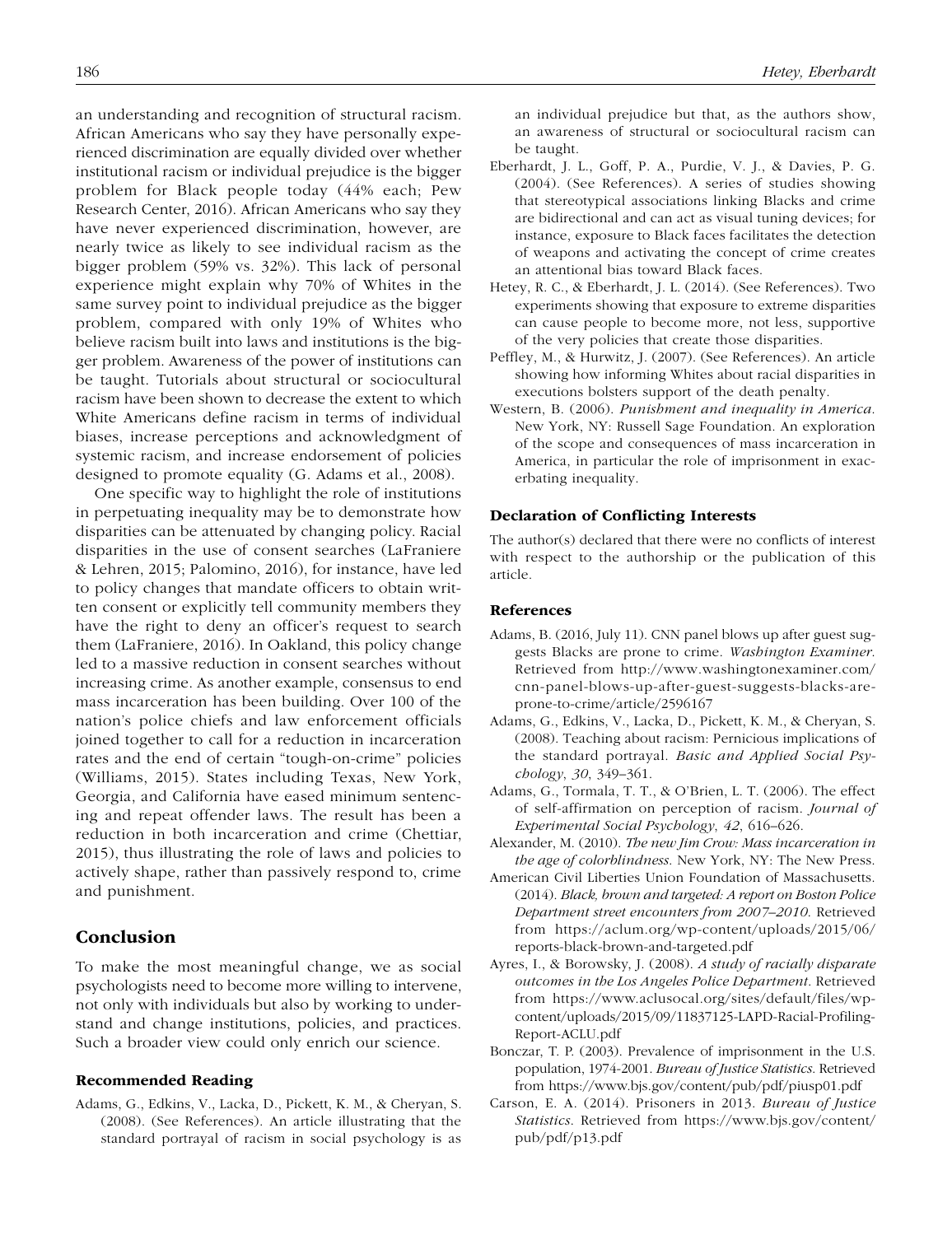an understanding and recognition of structural racism. African Americans who say they have personally experienced discrimination are equally divided over whether institutional racism or individual prejudice is the bigger problem for Black people today (44% each; Pew Research Center, 2016). African Americans who say they have never experienced discrimination, however, are nearly twice as likely to see individual racism as the bigger problem (59% vs. 32%). This lack of personal experience might explain why 70% of Whites in the same survey point to individual prejudice as the bigger problem, compared with only 19% of Whites who believe racism built into laws and institutions is the bigger problem. Awareness of the power of institutions can be taught. Tutorials about structural or sociocultural racism have been shown to decrease the extent to which White Americans define racism in terms of individual biases, increase perceptions and acknowledgment of systemic racism, and increase endorsement of policies designed to promote equality (G. Adams et al., 2008).

One specific way to highlight the role of institutions in perpetuating inequality may be to demonstrate how disparities can be attenuated by changing policy. Racial disparities in the use of consent searches (LaFraniere & Lehren, 2015; Palomino, 2016), for instance, have led to policy changes that mandate officers to obtain written consent or explicitly tell community members they have the right to deny an officer's request to search them (LaFraniere, 2016). In Oakland, this policy change led to a massive reduction in consent searches without increasing crime. As another example, consensus to end mass incarceration has been building. Over 100 of the nation's police chiefs and law enforcement officials joined together to call for a reduction in incarceration rates and the end of certain "tough-on-crime" policies (Williams, 2015). States including Texas, New York, Georgia, and California have eased minimum sentencing and repeat offender laws. The result has been a reduction in both incarceration and crime (Chettiar, 2015), thus illustrating the role of laws and policies to actively shape, rather than passively respond to, crime and punishment.

### Conclusion

To make the most meaningful change, we as social psychologists need to become more willing to intervene, not only with individuals but also by working to understand and change institutions, policies, and practices. Such a broader view could only enrich our science.

#### Recommended Reading

Adams, G., Edkins, V., Lacka, D., Pickett, K. M., & Cheryan, S. (2008). (See References). An article illustrating that the standard portrayal of racism in social psychology is as an individual prejudice but that, as the authors show, an awareness of structural or sociocultural racism can be taught.

- Eberhardt, J. L., Goff, P. A., Purdie, V. J., & Davies, P. G. (2004). (See References). A series of studies showing that stereotypical associations linking Blacks and crime are bidirectional and can act as visual tuning devices; for instance, exposure to Black faces facilitates the detection of weapons and activating the concept of crime creates an attentional bias toward Black faces.
- Hetey, R. C., & Eberhardt, J. L. (2014). (See References). Two experiments showing that exposure to extreme disparities can cause people to become more, not less, supportive of the very policies that create those disparities.
- Peffley, M., & Hurwitz, J. (2007). (See References). An article showing how informing Whites about racial disparities in executions bolsters support of the death penalty.
- Western, B. (2006). *Punishment and inequality in America*. New York, NY: Russell Sage Foundation. An exploration of the scope and consequences of mass incarceration in America, in particular the role of imprisonment in exacerbating inequality.

### Declaration of Conflicting Interests

The author(s) declared that there were no conflicts of interest with respect to the authorship or the publication of this article.

### References

- Adams, B. (2016, July 11). CNN panel blows up after guest suggests Blacks are prone to crime. *Washington Examiner*. Retrieved from [http://www.washingtonexaminer.com/](http://www.washingtonexaminer.com/cnn-panel-blows-up-after-guest-suggests-blacks-are-prone-to-crime/article/2596167) [cnn-panel-blows-up-after-guest-suggests-blacks-are](http://www.washingtonexaminer.com/cnn-panel-blows-up-after-guest-suggests-blacks-are-prone-to-crime/article/2596167)[prone-to-crime/article/2596167](http://www.washingtonexaminer.com/cnn-panel-blows-up-after-guest-suggests-blacks-are-prone-to-crime/article/2596167)
- Adams, G., Edkins, V., Lacka, D., Pickett, K. M., & Cheryan, S. (2008). Teaching about racism: Pernicious implications of the standard portrayal. *Basic and Applied Social Psychology*, *30*, 349–361.
- Adams, G., Tormala, T. T., & O'Brien, L. T. (2006). The effect of self-affirmation on perception of racism. *Journal of Experimental Social Psychology*, *42*, 616–626.
- Alexander, M. (2010). *The new Jim Crow: Mass incarceration in the age of colorblindness*. New York, NY: The New Press.
- American Civil Liberties Union Foundation of Massachusetts. (2014). *Black, brown and targeted: A report on Boston Police Department street encounters from 2007–2010*. Retrieved from [https://aclum.org/wp-content/uploads/2015/06/](https://aclum.org/wp-content/uploads/2015/06/reports-black-brown-and-targeted.pdf) [reports-black-brown-and-targeted.pdf](https://aclum.org/wp-content/uploads/2015/06/reports-black-brown-and-targeted.pdf)
- Ayres, I., & Borowsky, J. (2008). *A study of racially disparate outcomes in the Los Angeles Police Department*. Retrieved from [https://www.aclusocal.org/sites/default/files/wp](https://www.aclusocal.org/sites/default/files/wp-content/uploads/2015/09/11837125-LAPD-Racial-Profiling-Report-ACLU.pdf)[content/uploads/2015/09/11837125-LAPD-Racial-Profiling-](https://www.aclusocal.org/sites/default/files/wp-content/uploads/2015/09/11837125-LAPD-Racial-Profiling-Report-ACLU.pdf)[Report-ACLU.pdf](https://www.aclusocal.org/sites/default/files/wp-content/uploads/2015/09/11837125-LAPD-Racial-Profiling-Report-ACLU.pdf)
- Bonczar, T. P. (2003). Prevalence of imprisonment in the U.S. population, 1974-2001. *Bureau of Justice Statistics*. Retrieved from <https://www.bjs.gov/content/pub/pdf/piusp01.pdf>
- Carson, E. A. (2014). Prisoners in 2013. *Bureau of Justice Statistics*. Retrieved from [https://www.bjs.gov/content/](https://www.bjs.gov/content/pub/pdf/p13.pdf) [pub/pdf/p13.pdf](https://www.bjs.gov/content/pub/pdf/p13.pdf)